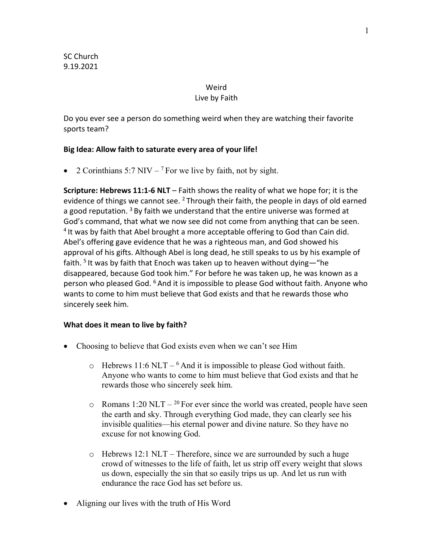#### Weird

### Live by Faith

Do you ever see a person do something weird when they are watching their favorite sports team?

## **Big Idea: Allow faith to saturate every area of your life!**

• 2 Corinthians 5:7 NIV –  $7$  For we live by faith, not by sight.

**Scripture: Hebrews 11:1-6 NLT** – Faith shows the reality of what we hope for; it is the evidence of things we cannot see.  $2$  Through their faith, the people in days of old earned a good reputation.  $3$  By faith we understand that the entire universe was formed at God's command, that what we now see did not come from anything that can be seen. <sup>4</sup> It was by faith that Abel brought a more acceptable offering to God than Cain did. Abel's offering gave evidence that he was a righteous man, and God showed his approval of his gifts. Although Abel is long dead, he still speaks to us by his example of faith.  $5$  It was by faith that Enoch was taken up to heaven without dying—"he disappeared, because God took him." For before he was taken up, he was known as a person who pleased God. 6 And it is impossible to please God without faith. Anyone who wants to come to him must believe that God exists and that he rewards those who sincerely seek him.

# **What does it mean to live by faith?**

- Choosing to believe that God exists even when we can't see Him
	- $\circ$  Hebrews 11:6 NLT <sup>6</sup> And it is impossible to please God without faith. Anyone who wants to come to him must believe that God exists and that he rewards those who sincerely seek him.
	- $\circ$  Romans 1:20 NLT <sup>20</sup> For ever since the world was created, people have seen the earth and sky. Through everything God made, they can clearly see his invisible qualities—his eternal power and divine nature. So they have no excuse for not knowing God.
	- o Hebrews 12:1 NLT Therefore, since we are surrounded by such a huge crowd of witnesses to the life of faith, let us strip off every weight that slows us down, especially the sin that so easily trips us up. And let us run with endurance the race God has set before us.
- Aligning our lives with the truth of His Word